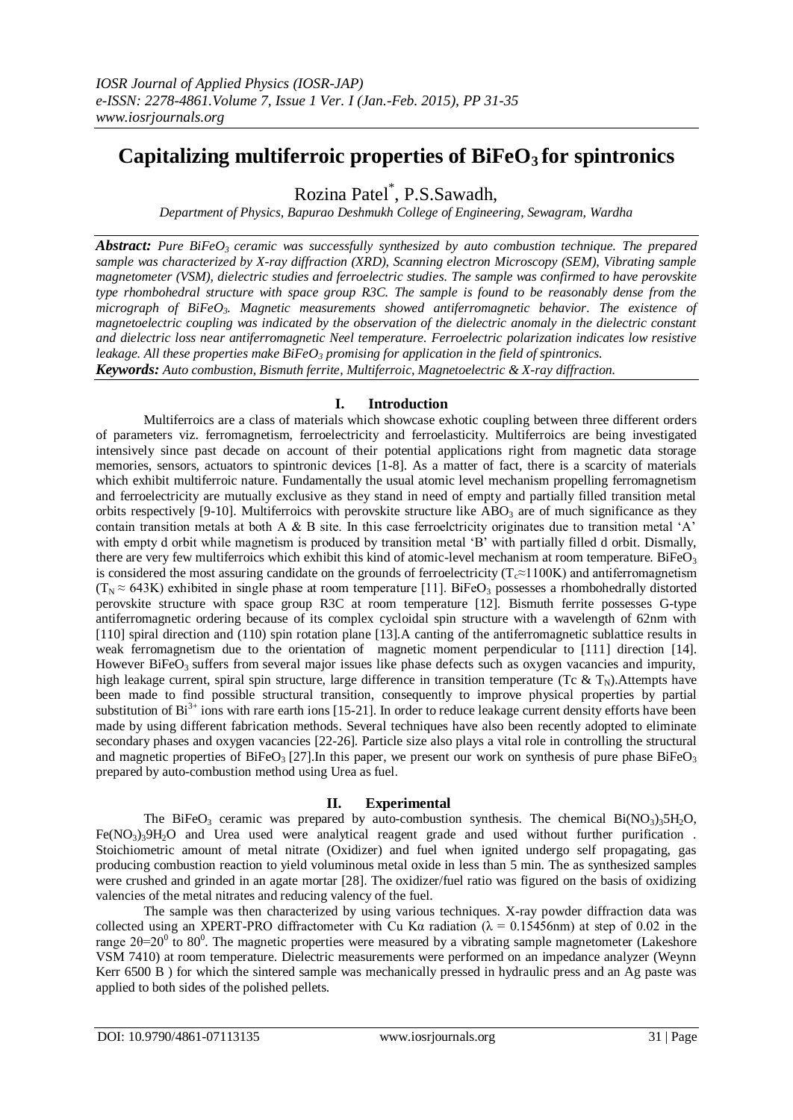# **Capitalizing multiferroic properties of BiFeO3 for spintronics**

Rozina Patel\* , P.S.Sawadh,

*Department of Physics, Bapurao Deshmukh College of Engineering, Sewagram, Wardha*

*Abstract: Pure BiFeO3 ceramic was successfully synthesized by auto combustion technique. The prepared sample was characterized by X-ray diffraction (XRD), Scanning electron Microscopy (SEM), Vibrating sample magnetometer (VSM), dielectric studies and ferroelectric studies. The sample was confirmed to have perovskite type rhombohedral structure with space group R3C. The sample is found to be reasonably dense from the micrograph of BiFeO3. Magnetic measurements showed antiferromagnetic behavior. The existence of magnetoelectric coupling was indicated by the observation of the dielectric anomaly in the dielectric constant and dielectric loss near antiferromagnetic Neel temperature. Ferroelectric polarization indicates low resistive leakage. All these properties make BiFeO<sup>3</sup> promising for application in the field of spintronics.*

*Keywords: Auto combustion, Bismuth ferrite, Multiferroic, Magnetoelectric & X-ray diffraction.*

# **I. Introduction**

Multiferroics are a class of materials which showcase exhotic coupling between three different orders of parameters viz. ferromagnetism, ferroelectricity and ferroelasticity. Multiferroics are being investigated intensively since past decade on account of their potential applications right from magnetic data storage memories, sensors, actuators to spintronic devices [1-8]. As a matter of fact, there is a scarcity of materials which exhibit multiferroic nature. Fundamentally the usual atomic level mechanism propelling ferromagnetism and ferroelectricity are mutually exclusive as they stand in need of empty and partially filled transition metal orbits respectively [9-10]. Multiferroics with perovskite structure like  $ABO<sub>3</sub>$  are of much significance as they contain transition metals at both A & B site. In this case ferroelctricity originates due to transition metal 'A' with empty d orbit while magnetism is produced by transition metal 'B' with partially filled d orbit. Dismally, there are very few multiferroics which exhibit this kind of atomic-level mechanism at room temperature. BiFe $O<sub>3</sub>$ is considered the most assuring candidate on the grounds of ferroelectricity ( $T_c \approx 1100K$ ) and antiferromagnetism  $(T_N \approx 643K)$  exhibited in single phase at room temperature [11]. BiFeO<sub>3</sub> possesses a rhombohedrally distorted perovskite structure with space group R3C at room temperature [12]. Bismuth ferrite possesses G-type antiferromagnetic ordering because of its complex cycloidal spin structure with a wavelength of 62nm with [110] spiral direction and (110) spin rotation plane [13].A canting of the antiferromagnetic sublattice results in weak ferromagnetism due to the orientation of magnetic moment perpendicular to [111] direction [14]. However BiFeO<sub>3</sub> suffers from several major issues like phase defects such as oxygen vacancies and impurity, high leakage current, spiral spin structure, large difference in transition temperature (Tc & T<sub>N</sub>). Attempts have been made to find possible structural transition, consequently to improve physical properties by partial substitution of  $Bi^{3+}$  ions with rare earth ions [15-21]. In order to reduce leakage current density efforts have been made by using different fabrication methods. Several techniques have also been recently adopted to eliminate secondary phases and oxygen vacancies [22-26]. Particle size also plays a vital role in controlling the structural and magnetic properties of BiFeO<sub>3</sub> [27]. In this paper, we present our work on synthesis of pure phase BiFeO<sub>3</sub> prepared by auto-combustion method using Urea as fuel.

## **II. Experimental**

The BiFeO<sub>3</sub> ceramic was prepared by auto-combustion synthesis. The chemical Bi(NO<sub>3</sub>)<sub>3</sub>5H<sub>2</sub>O,  $Fe(NO<sub>3</sub>)<sub>3</sub>9H<sub>2</sub>O$  and Urea used were analytical reagent grade and used without further purification. Stoichiometric amount of metal nitrate (Oxidizer) and fuel when ignited undergo self propagating, gas producing combustion reaction to yield voluminous metal oxide in less than 5 min. The as synthesized samples were crushed and grinded in an agate mortar [28]. The oxidizer/fuel ratio was figured on the basis of oxidizing valencies of the metal nitrates and reducing valency of the fuel.

The sample was then characterized by using various techniques. X-ray powder diffraction data was collected using an XPERT-PRO diffractometer with Cu Kα radiation ( $\lambda = 0.15456$ nm) at step of 0.02 in the range  $2θ=20<sup>0</sup>$  to 80<sup>0</sup>. The magnetic properties were measured by a vibrating sample magnetometer (Lakeshore VSM 7410) at room temperature. Dielectric measurements were performed on an impedance analyzer (Weynn Kerr 6500 B ) for which the sintered sample was mechanically pressed in hydraulic press and an Ag paste was applied to both sides of the polished pellets.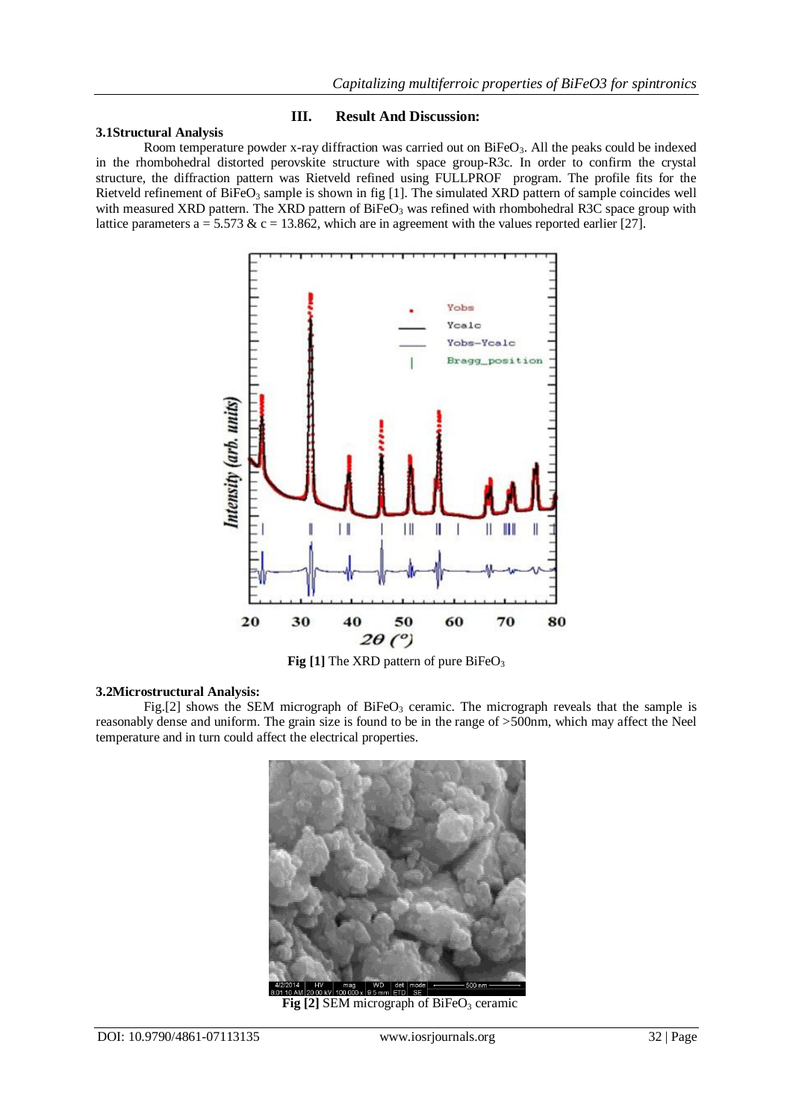# **3.1Structural Analysis**

## **III. Result And Discussion:**

Room temperature powder x-ray diffraction was carried out on BiFeO<sub>3</sub>. All the peaks could be indexed in the rhombohedral distorted perovskite structure with space group-R3c. In order to confirm the crystal structure, the diffraction pattern was Rietveld refined using FULLPROF program. The profile fits for the Rietveld refinement of BiFeO<sub>3</sub> sample is shown in fig [1]. The simulated XRD pattern of sample coincides well with measured XRD pattern. The XRD pattern of  $BiFeO<sub>3</sub>$  was refined with rhombohedral R3C space group with lattice parameters a = 5.573 & c = 13.862, which are in agreement with the values reported earlier [27].



Fig [1] The XRD pattern of pure BiFeO<sub>3</sub>

### **3.2Microstructural Analysis:**

Fig.[2] shows the SEM micrograph of BiFeO<sub>3</sub> ceramic. The micrograph reveals that the sample is reasonably dense and uniform. The grain size is found to be in the range of >500nm, which may affect the Neel temperature and in turn could affect the electrical properties.



**Fig [2] SEM micrograph of BiFeO<sub>3</sub> ceramic**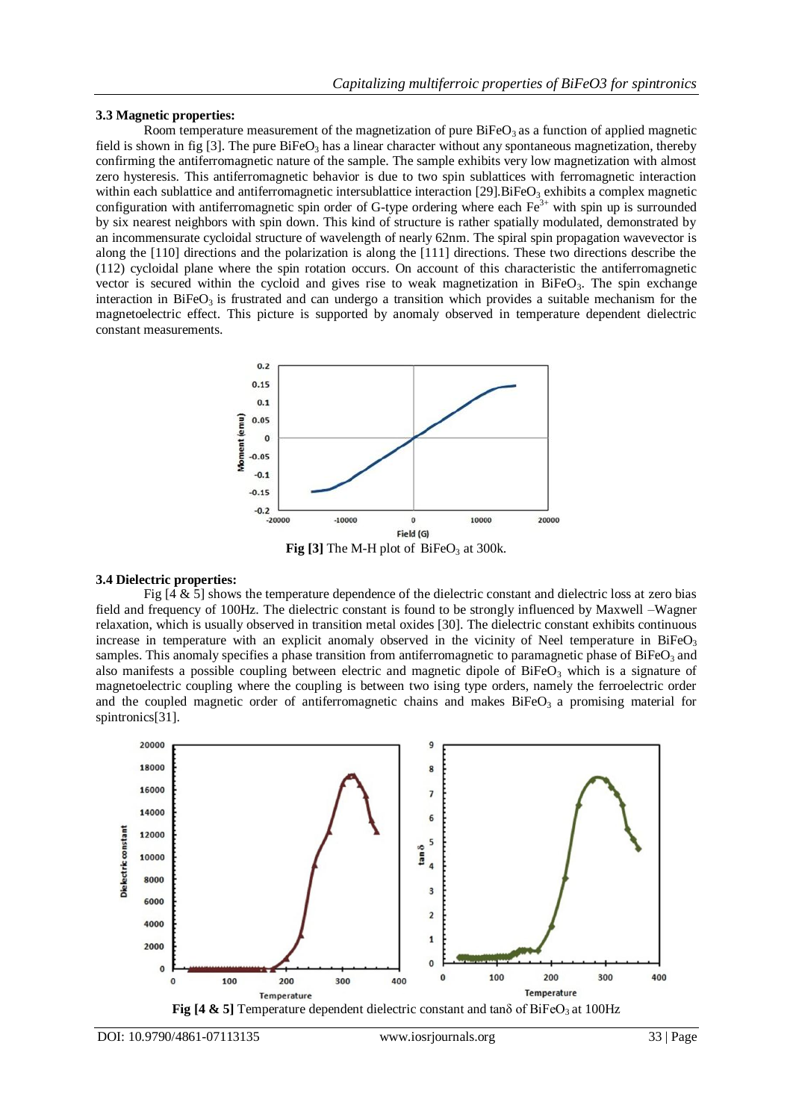#### **3.3 Magnetic properties:**

Room temperature measurement of the magnetization of pure  $BiFeO<sub>3</sub>$  as a function of applied magnetic field is shown in fig [3]. The pure  $BiFeO<sub>3</sub>$  has a linear character without any spontaneous magnetization, thereby confirming the antiferromagnetic nature of the sample. The sample exhibits very low magnetization with almost zero hysteresis. This antiferromagnetic behavior is due to two spin sublattices with ferromagnetic interaction within each sublattice and antiferromagnetic intersublattice interaction [29]. BiFeO<sub>3</sub> exhibits a complex magnetic configuration with antiferromagnetic spin order of G-type ordering where each  $Fe<sup>3+</sup>$  with spin up is surrounded by six nearest neighbors with spin down. This kind of structure is rather spatially modulated, demonstrated by an incommensurate cycloidal structure of wavelength of nearly 62nm. The spiral spin propagation wavevector is along the [110] directions and the polarization is along the [111] directions. These two directions describe the (112) cycloidal plane where the spin rotation occurs. On account of this characteristic the antiferromagnetic vector is secured within the cycloid and gives rise to weak magnetization in BiFeO<sub>3</sub>. The spin exchange interaction in BiFeO<sub>3</sub> is frustrated and can undergo a transition which provides a suitable mechanism for the magnetoelectric effect. This picture is supported by anomaly observed in temperature dependent dielectric constant measurements.



#### **3.4 Dielectric properties:**

Fig  $[4 \& 5]$  shows the temperature dependence of the dielectric constant and dielectric loss at zero bias field and frequency of 100Hz. The dielectric constant is found to be strongly influenced by Maxwell –Wagner relaxation, which is usually observed in transition metal oxides [30]. The dielectric constant exhibits continuous increase in temperature with an explicit anomaly observed in the vicinity of Neel temperature in BiFe $O_3$ samples. This anomaly specifies a phase transition from antiferromagnetic to paramagnetic phase of BiFeO<sub>3</sub> and also manifests a possible coupling between electric and magnetic dipole of  $BifeO<sub>3</sub>$  which is a signature of magnetoelectric coupling where the coupling is between two ising type orders, namely the ferroelectric order and the coupled magnetic order of antiferromagnetic chains and makes  $BiFeO<sub>3</sub>$  a promising material for spintronics[31].

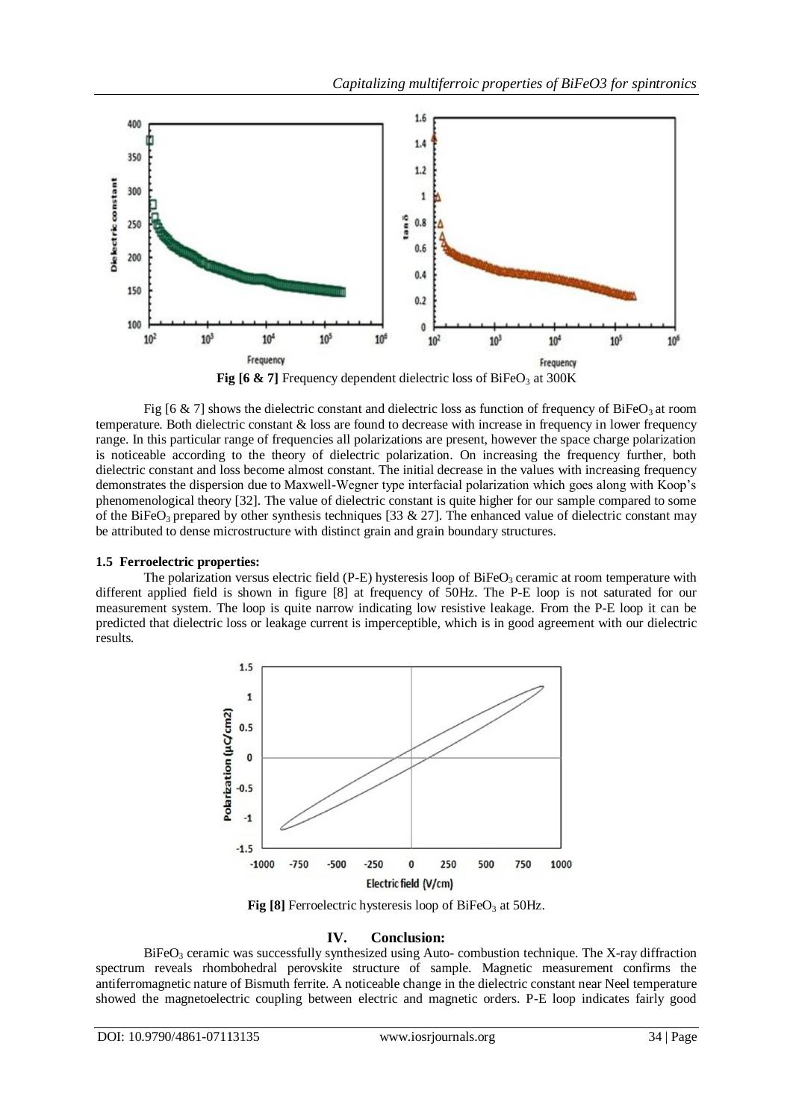

**Fig [6 & 7]** Frequency dependent dielectric loss of BiFeO<sub>3</sub> at 300K

Fig [6 & 7] shows the dielectric constant and dielectric loss as function of frequency of BiFeO<sub>3</sub> at room temperature. Both dielectric constant & loss are found to decrease with increase in frequency in lower frequency range. In this particular range of frequencies all polarizations are present, however the space charge polarization is noticeable according to the theory of dielectric polarization. On increasing the frequency further, both dielectric constant and loss become almost constant. The initial decrease in the values with increasing frequency demonstrates the dispersion due to Maxwell-Wegner type interfacial polarization which goes along with Koop's phenomenological theory [32]. The value of dielectric constant is quite higher for our sample compared to some of the BiFeO<sub>3</sub> prepared by other synthesis techniques [33  $\& 27$ ]. The enhanced value of dielectric constant may be attributed to dense microstructure with distinct grain and grain boundary structures.

## **1.5 Ferroelectric properties:**

The polarization versus electric field (P-E) hysteresis loop of  $BiFeO<sub>3</sub>$  ceramic at room temperature with different applied field is shown in figure [8] at frequency of 50Hz. The P-E loop is not saturated for our measurement system. The loop is quite narrow indicating low resistive leakage. From the P-E loop it can be predicted that dielectric loss or leakage current is imperceptible, which is in good agreement with our dielectric results.



**Fig [8]** Ferroelectric hysteresis loop of BiFeO<sub>3</sub> at 50Hz.

## **IV. Conclusion:**

BiFeO<sub>3</sub> ceramic was successfully synthesized using Auto- combustion technique. The X-ray diffraction spectrum reveals rhombohedral perovskite structure of sample. Magnetic measurement confirms the antiferromagnetic nature of Bismuth ferrite. A noticeable change in the dielectric constant near Neel temperature showed the magnetoelectric coupling between electric and magnetic orders. P-E loop indicates fairly good